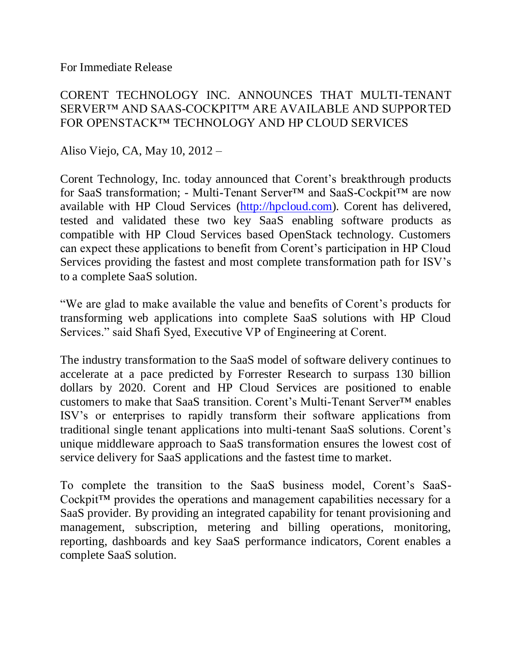For Immediate Release

## CORENT TECHNOLOGY INC. ANNOUNCES THAT MULTI-TENANT SERVER™ AND SAAS-COCKPIT™ ARE AVAILABLE AND SUPPORTED FOR OPENSTACK™ TECHNOLOGY AND HP CLOUD SERVICES

Aliso Viejo, CA, May 10, 2012 –

Corent Technology, Inc. today announced that Corent's breakthrough products for SaaS transformation; - Multi-Tenant Server™ and SaaS-Cockpit™ are now available with HP Cloud Services [\(http://hpcloud.com\)](http://hpcloud.com/). Corent has delivered, tested and validated these two key SaaS enabling software products as compatible with HP Cloud Services based OpenStack technology. Customers can expect these applications to benefit from Corent's participation in HP Cloud Services providing the fastest and most complete transformation path for ISV's to a complete SaaS solution.

"We are glad to make available the value and benefits of Corent's products for transforming web applications into complete SaaS solutions with HP Cloud Services." said Shafi Syed, Executive VP of Engineering at Corent.

The industry transformation to the SaaS model of software delivery continues to accelerate at a pace predicted by Forrester Research to surpass 130 billion dollars by 2020. Corent and HP Cloud Services are positioned to enable customers to make that SaaS transition. Corent's Multi-Tenant Server™ enables ISV's or enterprises to rapidly transform their software applications from traditional single tenant applications into multi-tenant SaaS solutions. Corent's unique middleware approach to SaaS transformation ensures the lowest cost of service delivery for SaaS applications and the fastest time to market.

To complete the transition to the SaaS business model, Corent's SaaS-Cockpit™ provides the operations and management capabilities necessary for a SaaS provider. By providing an integrated capability for tenant provisioning and management, subscription, metering and billing operations, monitoring, reporting, dashboards and key SaaS performance indicators, Corent enables a complete SaaS solution.